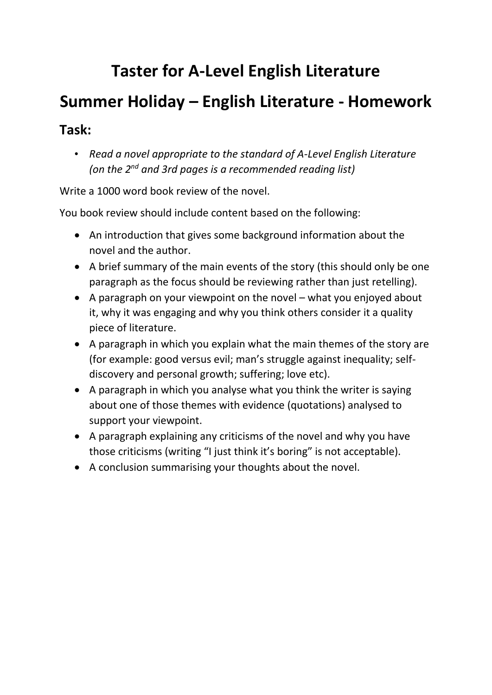## **Taster for A-Level English Literature**

# **Summer Holiday – English Literature - Homework**

### **Task:**

• *Read a novel appropriate to the standard of A-Level English Literature (on the 2 nd and 3rd pages is a recommended reading list)*

Write a 1000 word book review of the novel.

You book review should include content based on the following:

- An introduction that gives some background information about the novel and the author.
- A brief summary of the main events of the story (this should only be one paragraph as the focus should be reviewing rather than just retelling).
- A paragraph on your viewpoint on the novel what you enjoyed about it, why it was engaging and why you think others consider it a quality piece of literature.
- A paragraph in which you explain what the main themes of the story are (for example: good versus evil; man's struggle against inequality; selfdiscovery and personal growth; suffering; love etc).
- A paragraph in which you analyse what you think the writer is saying about one of those themes with evidence (quotations) analysed to support your viewpoint.
- A paragraph explaining any criticisms of the novel and why you have those criticisms (writing "I just think it's boring" is not acceptable).
- A conclusion summarising your thoughts about the novel.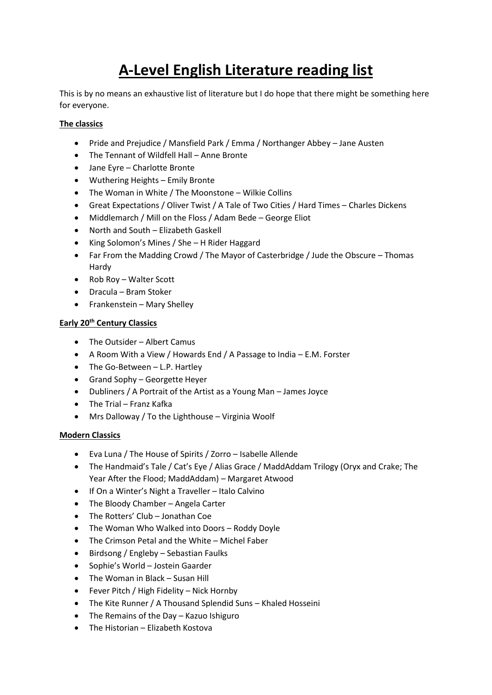### **A-Level English Literature reading list**

This is by no means an exhaustive list of literature but I do hope that there might be something here for everyone.

#### **The classics**

- Pride and Prejudice / Mansfield Park / Emma / Northanger Abbey Jane Austen
- The Tennant of Wildfell Hall Anne Bronte
- Jane Eyre Charlotte Bronte
- Wuthering Heights Emily Bronte
- The Woman in White / The Moonstone Wilkie Collins
- Great Expectations / Oliver Twist / A Tale of Two Cities / Hard Times Charles Dickens
- Middlemarch / Mill on the Floss / Adam Bede George Eliot
- North and South Elizabeth Gaskell
- King Solomon's Mines / She H Rider Haggard
- Far From the Madding Crowd / The Mayor of Casterbridge / Jude the Obscure Thomas Hardy
- Rob Roy Walter Scott
- Dracula Bram Stoker
- Frankenstein Mary Shelley

#### **Early 20th Century Classics**

- The Outsider Albert Camus
- A Room With a View / Howards End / A Passage to India E.M. Forster
- The Go-Between L.P. Hartley
- Grand Sophy Georgette Heyer
- Dubliners / A Portrait of the Artist as a Young Man James Joyce
- The Trial Franz Kafka
- Mrs Dalloway / To the Lighthouse Virginia Woolf

#### **Modern Classics**

- Eva Luna / The House of Spirits / Zorro Isabelle Allende
- The Handmaid's Tale / Cat's Eye / Alias Grace / MaddAddam Trilogy (Oryx and Crake; The Year After the Flood; MaddAddam) – Margaret Atwood
- If On a Winter's Night a Traveller Italo Calvino
- The Bloody Chamber Angela Carter
- The Rotters' Club Jonathan Coe
- The Woman Who Walked into Doors Roddy Doyle
- The Crimson Petal and the White Michel Faber
- Birdsong / Engleby Sebastian Faulks
- Sophie's World Jostein Gaarder
- The Woman in Black Susan Hill
- Fever Pitch / High Fidelity Nick Hornby
- The Kite Runner / A Thousand Splendid Suns Khaled Hosseini
- The Remains of the Day Kazuo Ishiguro
- The Historian Elizabeth Kostova